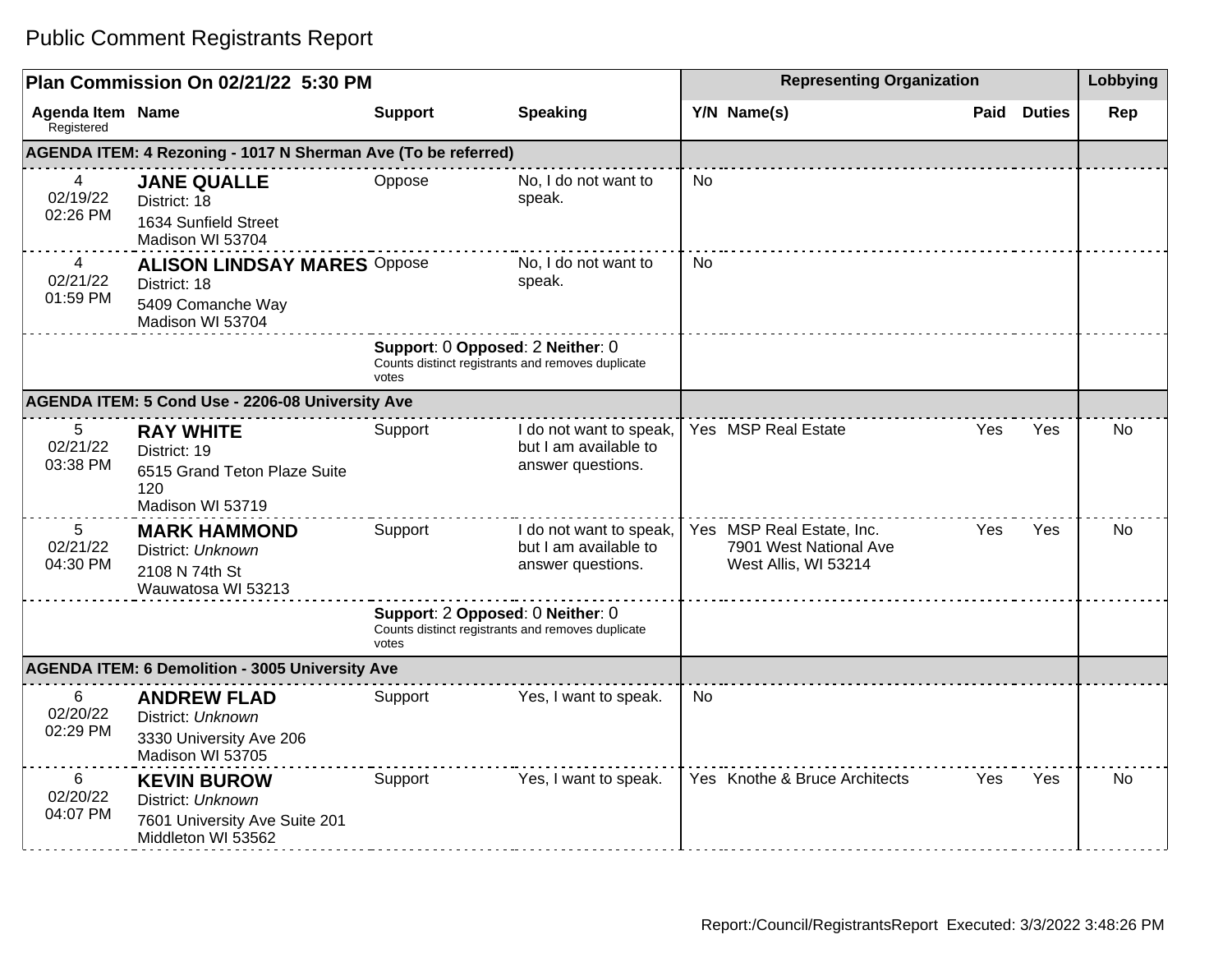## Public Comment Registrants Report

| Plan Commission On 02/21/22 5:30 PM              |                                                                                                |                                                                                                |                                                                       | <b>Representing Organization</b> |                                                                             |            |               | Lobbying  |
|--------------------------------------------------|------------------------------------------------------------------------------------------------|------------------------------------------------------------------------------------------------|-----------------------------------------------------------------------|----------------------------------|-----------------------------------------------------------------------------|------------|---------------|-----------|
| <b>Agenda Item Name</b><br>Registered            |                                                                                                | <b>Support</b>                                                                                 | <b>Speaking</b>                                                       |                                  | Y/N Name(s)                                                                 | Paid       | <b>Duties</b> | Rep       |
|                                                  | AGENDA ITEM: 4 Rezoning - 1017 N Sherman Ave (To be referred)                                  |                                                                                                |                                                                       |                                  |                                                                             |            |               |           |
| $\overline{4}$<br>02/19/22<br>02:26 PM           | <b>JANE QUALLE</b><br>District: 18<br>1634 Sunfield Street<br>Madison WI 53704                 | Oppose                                                                                         | No, I do not want to<br>speak.                                        | <b>No</b>                        |                                                                             |            |               |           |
| 4<br>02/21/22<br>01:59 PM                        | <b>ALISON LINDSAY MARES Oppose</b><br>District: 18<br>5409 Comanche Way<br>Madison WI 53704    |                                                                                                | No, I do not want to<br>speak.                                        | <b>No</b>                        |                                                                             |            |               |           |
|                                                  |                                                                                                | Support: 0 Opposed: 2 Neither: 0<br>Counts distinct registrants and removes duplicate<br>votes |                                                                       |                                  |                                                                             |            |               |           |
| AGENDA ITEM: 5 Cond Use - 2206-08 University Ave |                                                                                                |                                                                                                |                                                                       |                                  |                                                                             |            |               |           |
| 5<br>02/21/22<br>03:38 PM                        | <b>RAY WHITE</b><br>District: 19<br>6515 Grand Teton Plaze Suite<br>120<br>Madison WI 53719    | Support                                                                                        | I do not want to speak,<br>but I am available to<br>answer questions. |                                  | Yes MSP Real Estate                                                         | Yes        | Yes           | <b>No</b> |
| 5<br>02/21/22<br>04:30 PM                        | <b>MARK HAMMOND</b><br>District: Unknown<br>2108 N 74th St<br>Wauwatosa WI 53213               | Support                                                                                        | I do not want to speak,<br>but I am available to<br>answer questions. |                                  | Yes MSP Real Estate, Inc.<br>7901 West National Ave<br>West Allis, WI 53214 | <b>Yes</b> | <b>Yes</b>    | No.       |
|                                                  |                                                                                                | Support: 2 Opposed: 0 Neither: 0<br>Counts distinct registrants and removes duplicate<br>votes |                                                                       |                                  |                                                                             |            |               |           |
|                                                  | <b>AGENDA ITEM: 6 Demolition - 3005 University Ave</b>                                         |                                                                                                |                                                                       |                                  |                                                                             |            |               |           |
| 6<br>02/20/22<br>02:29 PM                        | <b>ANDREW FLAD</b><br>District: Unknown<br>3330 University Ave 206<br>Madison WI 53705         | Support                                                                                        | Yes, I want to speak.                                                 | No                               |                                                                             |            |               |           |
| 6<br>02/20/22<br>04:07 PM                        | <b>KEVIN BUROW</b><br>District: Unknown<br>7601 University Ave Suite 201<br>Middleton WI 53562 | Support                                                                                        | Yes, I want to speak.                                                 |                                  | Yes Knothe & Bruce Architects                                               | Yes        | Yes           | <b>No</b> |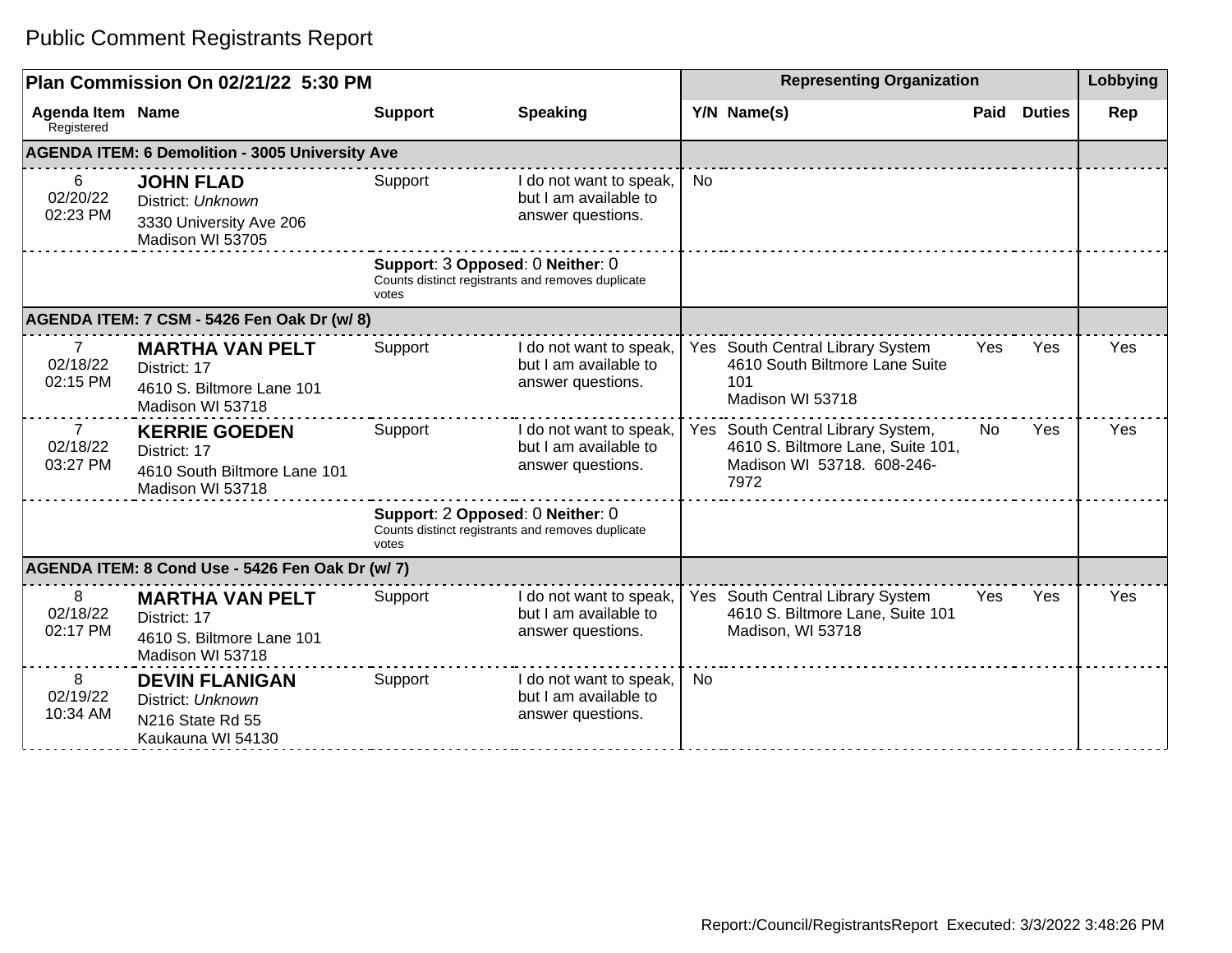## Public Comment Registrants Report

| Plan Commission On 02/21/22 5:30 PM              |                                                                                          |                                                                                                |                                                                       | <b>Representing Organization</b> |                                                                                                              |      |               | Lobbying |
|--------------------------------------------------|------------------------------------------------------------------------------------------|------------------------------------------------------------------------------------------------|-----------------------------------------------------------------------|----------------------------------|--------------------------------------------------------------------------------------------------------------|------|---------------|----------|
| <b>Agenda Item Name</b><br>Registered            |                                                                                          | <b>Support</b>                                                                                 | <b>Speaking</b>                                                       |                                  | Y/N Name(s)                                                                                                  | Paid | <b>Duties</b> | Rep      |
|                                                  | <b>AGENDA ITEM: 6 Demolition - 3005 University Ave</b>                                   |                                                                                                |                                                                       |                                  |                                                                                                              |      |               |          |
| 6<br>02/20/22<br>02:23 PM                        | <b>JOHN FLAD</b><br>District: Unknown<br>3330 University Ave 206<br>Madison WI 53705     | Support                                                                                        | I do not want to speak,<br>but I am available to<br>answer questions. | No                               |                                                                                                              |      |               |          |
|                                                  |                                                                                          | Support: 3 Opposed: 0 Neither: 0<br>Counts distinct registrants and removes duplicate<br>votes |                                                                       |                                  |                                                                                                              |      |               |          |
|                                                  | AGENDA ITEM: 7 CSM - 5426 Fen Oak Dr (w/ 8)                                              |                                                                                                |                                                                       |                                  |                                                                                                              |      |               |          |
| $\overline{7}$<br>02/18/22<br>02:15 PM           | <b>MARTHA VAN PELT</b><br>District: 17<br>4610 S. Biltmore Lane 101<br>Madison WI 53718  | Support                                                                                        | I do not want to speak,<br>but I am available to<br>answer questions. |                                  | Yes South Central Library System<br>4610 South Biltmore Lane Suite<br>101<br>Madison WI 53718                | Yes  | Yes           | Yes      |
| $\overline{7}$<br>02/18/22<br>03:27 PM           | <b>KERRIE GOEDEN</b><br>District: 17<br>4610 South Biltmore Lane 101<br>Madison WI 53718 | Support                                                                                        | I do not want to speak,<br>but I am available to<br>answer questions. |                                  | Yes South Central Library System,<br>4610 S. Biltmore Lane, Suite 101,<br>Madison WI 53718. 608-246-<br>7972 | No   | Yes           | Yes      |
|                                                  |                                                                                          | Support: 2 Opposed: 0 Neither: 0<br>Counts distinct registrants and removes duplicate<br>votes |                                                                       |                                  |                                                                                                              |      |               |          |
| AGENDA ITEM: 8 Cond Use - 5426 Fen Oak Dr (w/ 7) |                                                                                          |                                                                                                |                                                                       |                                  |                                                                                                              |      |               |          |
| 8<br>02/18/22<br>02:17 PM                        | <b>MARTHA VAN PELT</b><br>District: 17<br>4610 S. Biltmore Lane 101<br>Madison WI 53718  | Support                                                                                        | I do not want to speak,<br>but I am available to<br>answer questions. |                                  | Yes South Central Library System<br>4610 S. Biltmore Lane, Suite 101<br>Madison, WI 53718                    | Yes  | Yes           | Yes      |
| 8<br>02/19/22<br>10:34 AM                        | <b>DEVIN FLANIGAN</b><br>District: Unknown<br>N216 State Rd 55<br>Kaukauna WI 54130      | Support                                                                                        | I do not want to speak,<br>but I am available to<br>answer questions. | <b>No</b>                        |                                                                                                              |      |               |          |